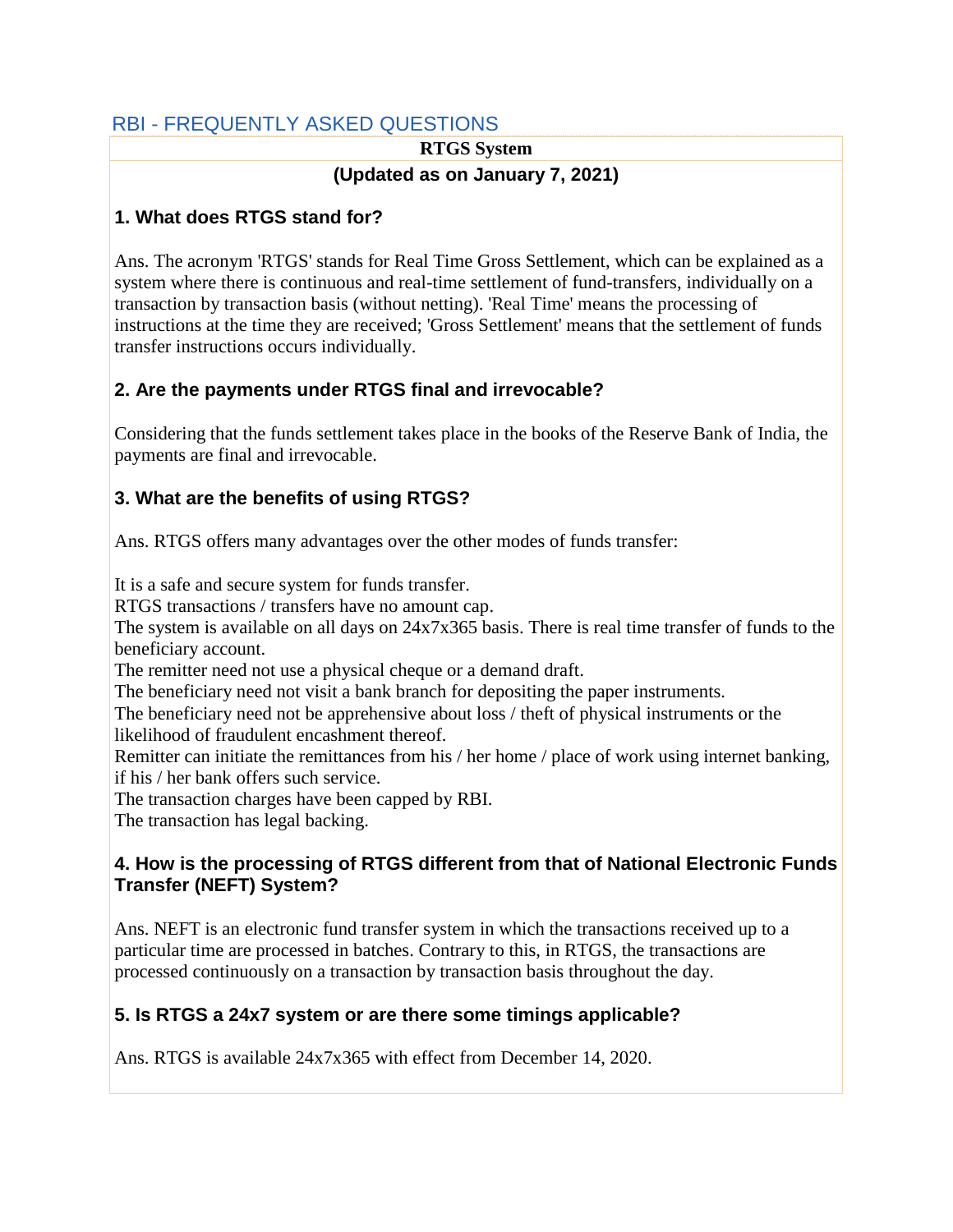# RBI - FREQUENTLY ASKED QUESTIONS

## **RTGS System (Updated as on January 7, 2021)**

# **1. What does RTGS stand for?**

Ans. The acronym 'RTGS' stands for Real Time Gross Settlement, which can be explained as a system where there is continuous and real-time settlement of fund-transfers, individually on a transaction by transaction basis (without netting). 'Real Time' means the processing of instructions at the time they are received; 'Gross Settlement' means that the settlement of funds transfer instructions occurs individually.

# **2. Are the payments under RTGS final and irrevocable?**

Considering that the funds settlement takes place in the books of the Reserve Bank of India, the payments are final and irrevocable.

## **3. What are the benefits of using RTGS?**

Ans. RTGS offers many advantages over the other modes of funds transfer:

It is a safe and secure system for funds transfer.

RTGS transactions / transfers have no amount cap.

 The system is available on all days on 24x7x365 basis. There is real time transfer of funds to the beneficiary account.

The remitter need not use a physical cheque or a demand draft.

The beneficiary need not visit a bank branch for depositing the paper instruments.

 The beneficiary need not be apprehensive about loss / theft of physical instruments or the likelihood of fraudulent encashment thereof.

Remitter can initiate the remittances from his / her home / place of work using internet banking, if his / her bank offers such service.

The transaction charges have been capped by RBI.

The transaction has legal backing.

## **4. How is the processing of RTGS different from that of National Electronic Funds Transfer (NEFT) System?**

Ans. NEFT is an electronic fund transfer system in which the transactions received up to a particular time are processed in batches. Contrary to this, in RTGS, the transactions are processed continuously on a transaction by transaction basis throughout the day.

# **5. Is RTGS a 24x7 system or are there some timings applicable?**

Ans. RTGS is available 24x7x365 with effect from December 14, 2020.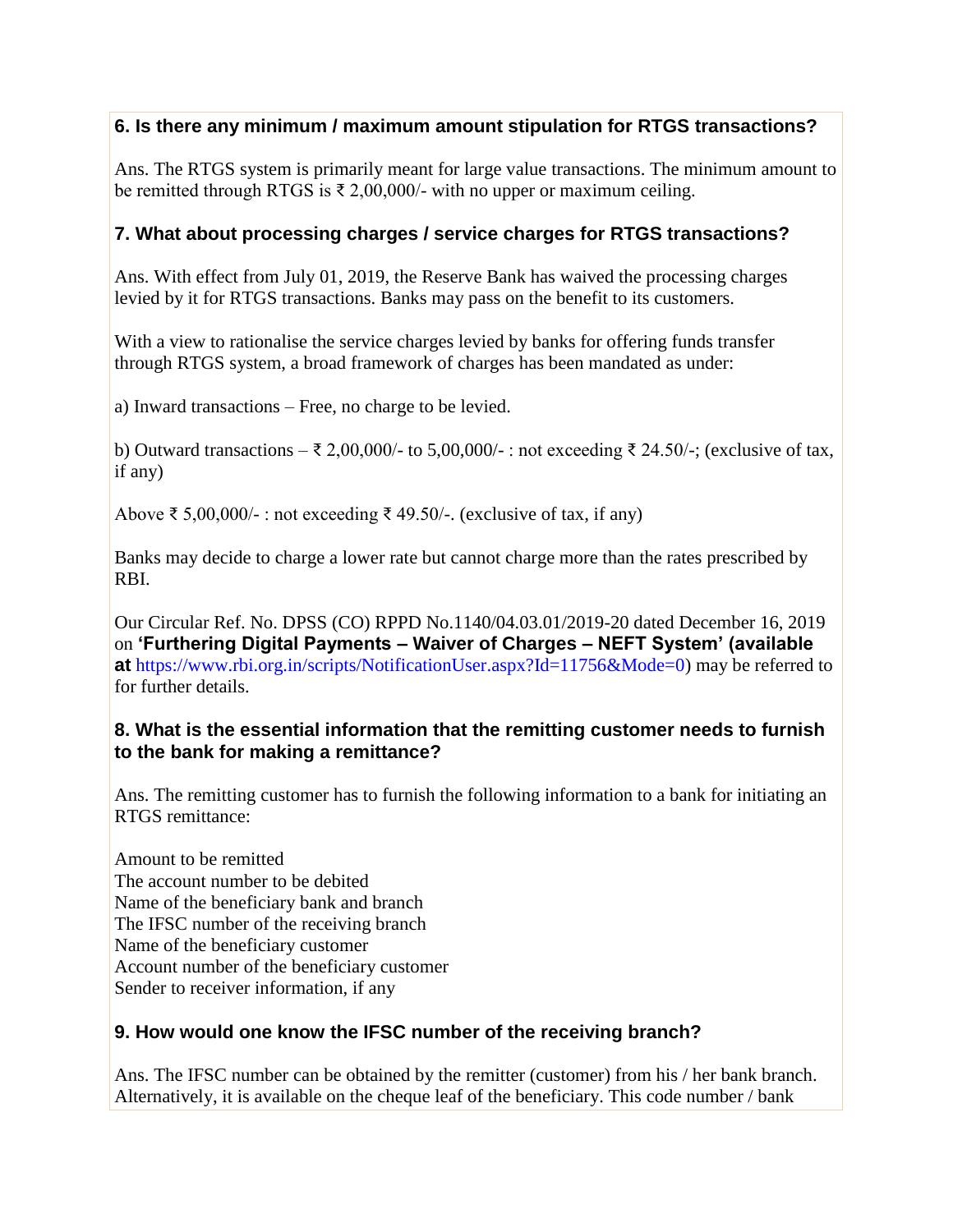## **6. Is there any minimum / maximum amount stipulation for RTGS transactions?**

Ans. The RTGS system is primarily meant for large value transactions. The minimum amount to be remitted through RTGS is  $\bar{\tau}$  2,00,000/- with no upper or maximum ceiling.

#### **7. What about processing charges / service charges for RTGS transactions?**

Ans. With effect from July 01, 2019, the Reserve Bank has waived the processing charges levied by it for RTGS transactions. Banks may pass on the benefit to its customers.

With a view to rationalise the service charges levied by banks for offering funds transfer through RTGS system, a broad framework of charges has been mandated as under:

a) Inward transactions – Free, no charge to be levied.

b) Outward transactions – ₹ 2,00,000/- to 5,00,000/-: not exceeding ₹ 24.50/-; (exclusive of tax, if any)

Above ₹ 5,00,000/-: not exceeding ₹ 49.50/-. (exclusive of tax, if any)

Banks may decide to charge a lower rate but cannot charge more than the rates prescribed by RBI.

Our Circular Ref. No. DPSS (CO) RPPD No.1140/04.03.01/2019-20 dated December 16, 2019 on **'Furthering Digital Payments – Waiver of Charges – NEFT System' (available at** [https://www.rbi.org.in/scripts/NotificationUser.aspx?Id=11756&Mode=0\)](https://m.rbi.org.in/scripts/NotificationUser.aspx?Id=11756&Mode=0) may be referred to for further details.

#### **8. What is the essential information that the remitting customer needs to furnish to the bank for making a remittance?**

Ans. The remitting customer has to furnish the following information to a bank for initiating an RTGS remittance:

Amount to be remitted. The account number to be debited Name of the beneficiary bank and branch The IFSC number of the receiving branch Name of the beneficiary customer Account number of the beneficiary customer Sender to receiver information, if any

## **9. How would one know the IFSC number of the receiving branch?**

Ans. The IFSC number can be obtained by the remitter (customer) from his / her bank branch. Alternatively, it is available on the cheque leaf of the beneficiary. This code number / bank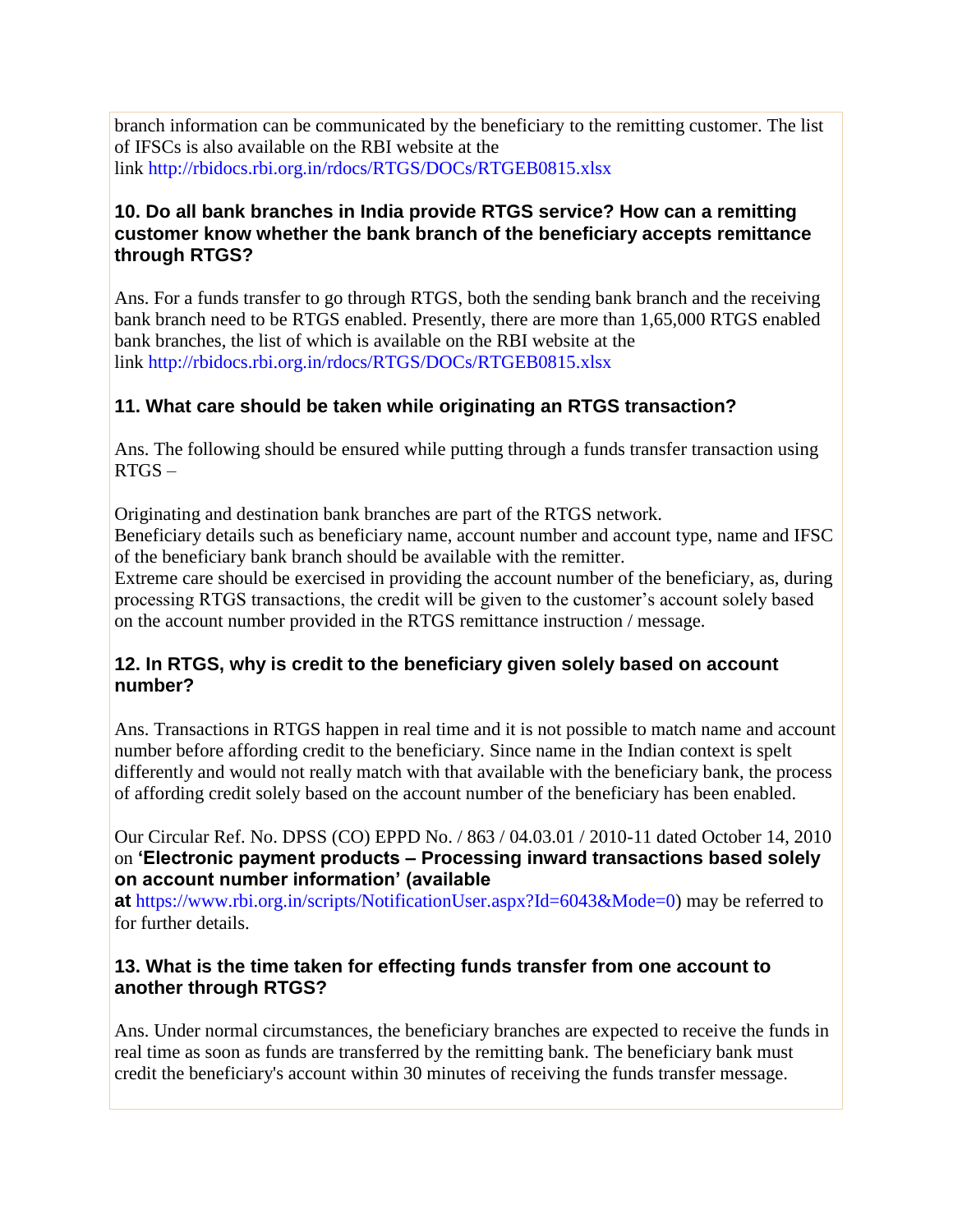branch information can be communicated by the beneficiary to the remitting customer. The list of IFSCs is also available on the RBI website at the link [http://rbidocs.rbi.org.in/rdocs/RTGS/DOCs/RTGEB0815.xlsx](https://rbidocs.rbi.org.in/rdocs/RTGS/DOCs/RTGEB0815.xlsx)

#### **10. Do all bank branches in India provide RTGS service? How can a remitting customer know whether the bank branch of the beneficiary accepts remittance through RTGS?**

Ans. For a funds transfer to go through RTGS, both the sending bank branch and the receiving bank branch need to be RTGS enabled. Presently, there are more than 1,65,000 RTGS enabled bank branches, the list of which is available on the RBI website at the link [http://rbidocs.rbi.org.in/rdocs/RTGS/DOCs/RTGEB0815.xlsx](https://rbidocs.rbi.org.in/rdocs/RTGS/DOCs/RTGEB0815.xlsx)

## **11. What care should be taken while originating an RTGS transaction?**

Ans. The following should be ensured while putting through a funds transfer transaction using RTGS –

Originating and destination bank branches are part of the RTGS network.

 Beneficiary details such as beneficiary name, account number and account type, name and IFSC of the beneficiary bank branch should be available with the remitter.

 Extreme care should be exercised in providing the account number of the beneficiary, as, during processing RTGS transactions, the credit will be given to the customer's account solely based on the account number provided in the RTGS remittance instruction / message.

## **12. In RTGS, why is credit to the beneficiary given solely based on account number?**

Ans. Transactions in RTGS happen in real time and it is not possible to match name and account number before affording credit to the beneficiary. Since name in the Indian context is spelt differently and would not really match with that available with the beneficiary bank, the process of affording credit solely based on the account number of the beneficiary has been enabled.

Our Circular Ref. No. DPSS (CO) EPPD No. / 863 / 04.03.01 / 2010-11 dated October 14, 2010 on **'Electronic payment products – Processing inward transactions based solely on account number information' (available** 

**at** [https://www.rbi.org.in/scripts/NotificationUser.aspx?Id=6043&Mode=0\)](https://m.rbi.org.in/scripts/NotificationUser.aspx?Id=6043&Mode=0) may be referred to for further details.

#### **13. What is the time taken for effecting funds transfer from one account to another through RTGS?**

Ans. Under normal circumstances, the beneficiary branches are expected to receive the funds in real time as soon as funds are transferred by the remitting bank. The beneficiary bank must credit the beneficiary's account within 30 minutes of receiving the funds transfer message.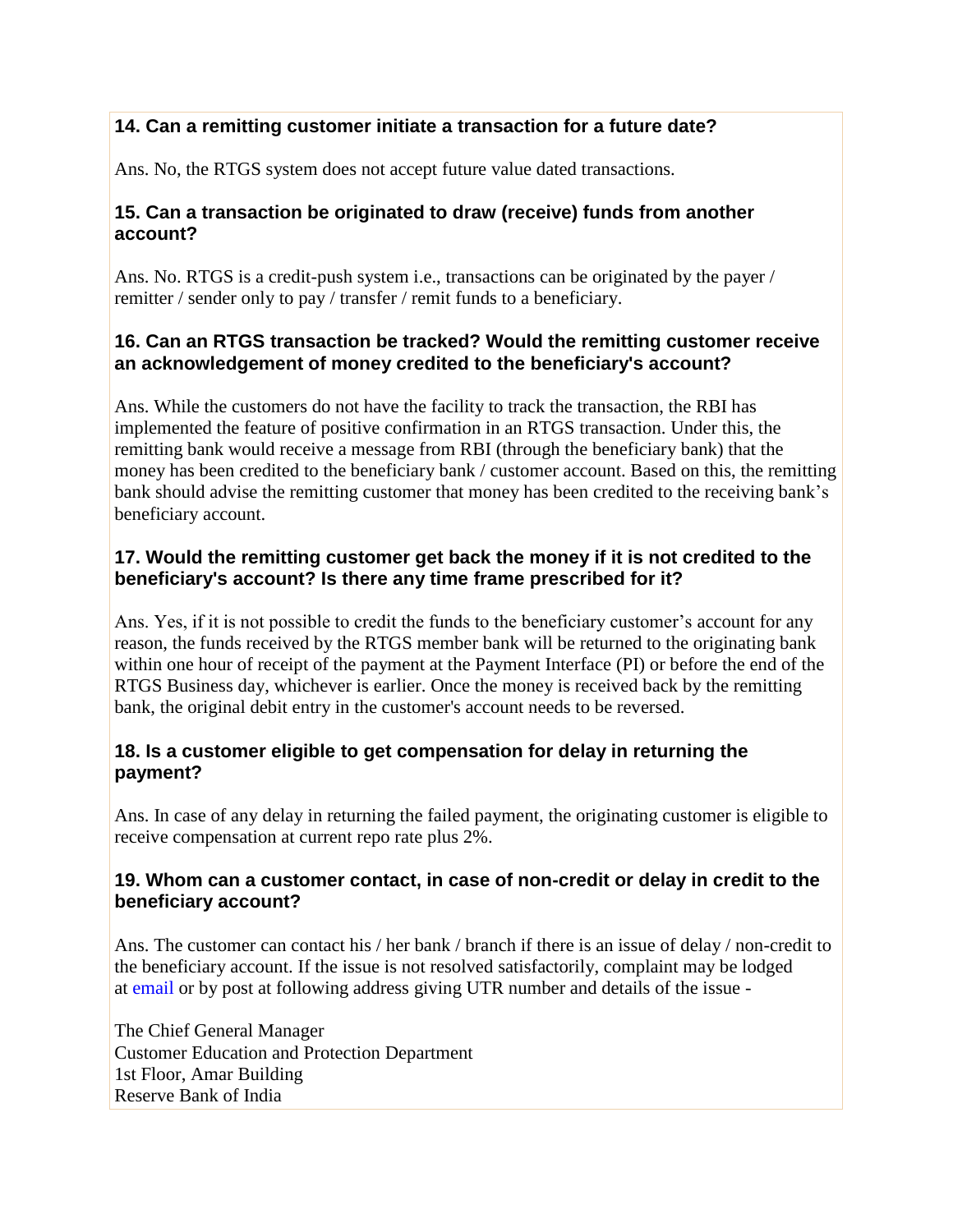## **14. Can a remitting customer initiate a transaction for a future date?**

Ans. No, the RTGS system does not accept future value dated transactions.

#### **15. Can a transaction be originated to draw (receive) funds from another account?**

Ans. No. RTGS is a credit-push system i.e., transactions can be originated by the payer / remitter / sender only to pay / transfer / remit funds to a beneficiary.

#### **16. Can an RTGS transaction be tracked? Would the remitting customer receive an acknowledgement of money credited to the beneficiary's account?**

Ans. While the customers do not have the facility to track the transaction, the RBI has implemented the feature of positive confirmation in an RTGS transaction. Under this, the remitting bank would receive a message from RBI (through the beneficiary bank) that the money has been credited to the beneficiary bank / customer account. Based on this, the remitting bank should advise the remitting customer that money has been credited to the receiving bank's beneficiary account.

## **17. Would the remitting customer get back the money if it is not credited to the beneficiary's account? Is there any time frame prescribed for it?**

Ans. Yes, if it is not possible to credit the funds to the beneficiary customer's account for any reason, the funds received by the RTGS member bank will be returned to the originating bank within one hour of receipt of the payment at the Payment Interface (PI) or before the end of the RTGS Business day, whichever is earlier. Once the money is received back by the remitting bank, the original debit entry in the customer's account needs to be reversed.

## **18. Is a customer eligible to get compensation for delay in returning the payment?**

Ans. In case of any delay in returning the failed payment, the originating customer is eligible to receive compensation at current repo rate plus 2%.

#### **19. Whom can a customer contact, in case of non-credit or delay in credit to the beneficiary account?**

Ans. The customer can contact his / her bank / branch if there is an issue of delay / non-credit to the beneficiary account. If the issue is not resolved satisfactorily, complaint may be lodged at [email](mailto:cgmcepd@rbi.org.in) or by post at following address giving UTR number and details of the issue -

The Chief General Manager Customer Education and Protection Department 1st Floor, Amar Building Reserve Bank of India